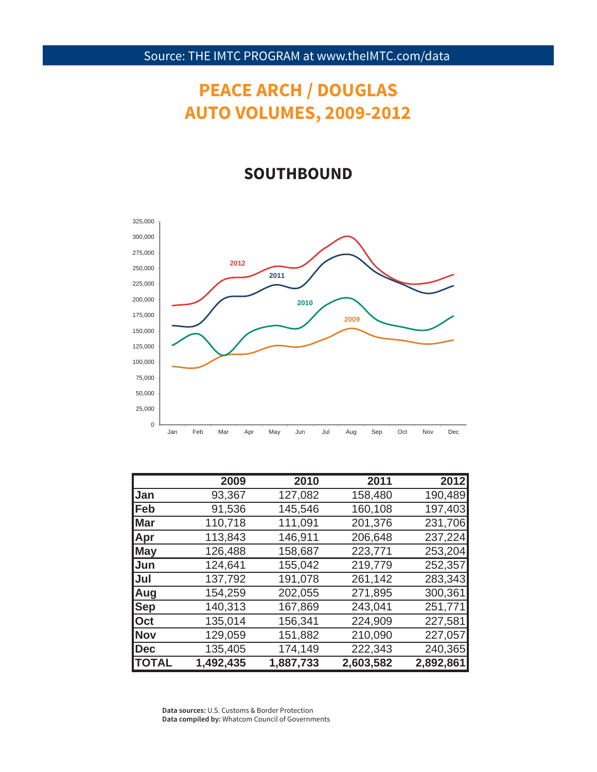# **PEACE ARCH / DOUGLAS AUTO VOLUMES, 2009-2012**

### **SOUTHBOUND**



|               | 2009      | 2010      | 2011      | 2012      |
|---------------|-----------|-----------|-----------|-----------|
| Jan           | 93,367    | 127,082   | 158,480   | 190,489   |
| Feb           | 91,536    | 145,546   | 160,108   | 197,403   |
| Mar           | 110,718   | 111,091   | 201,376   | 231,706   |
| <b>Apr</b>    | 113,843   | 146,911   | 206,648   | 237,224   |
| <b>May</b>    | 126,488   | 158,687   | 223,771   | 253,204   |
| Jun           | 124,641   | 155,042   | 219,779   | 252,357   |
| IJul          | 137,792   | 191,078   | 261,142   | 283,343   |
| Aug           | 154,259   | 202,055   | 271,895   | 300,361   |
| <b>Sep</b>    | 140,313   | 167,869   | 243,041   | 251,771   |
| <b>Oct</b>    | 135,014   | 156,341   | 224,909   | 227,581   |
| <b>INov</b>   | 129,059   | 151,882   | 210,090   | 227,057   |
| Dec           | 135,405   | 174,149   | 222,343   | 240,365   |
| <b>ITOTAL</b> | 1,492,435 | 1,887,733 | 2,603,582 | 2,892,861 |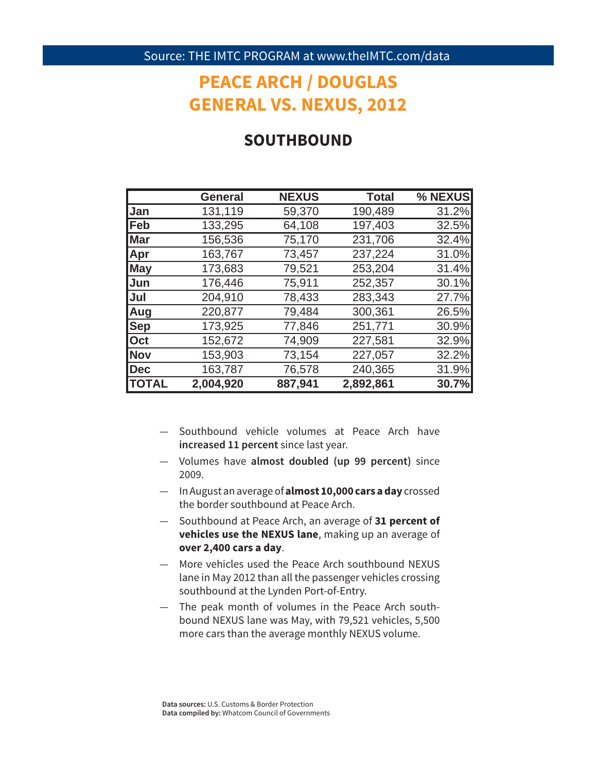## **PEACE ARCH / DOUGLAS GENERAL VS. NEXUS, 2012**

#### **SOUTHBOUND**

|              | <b>General</b> | <b>NEXUS</b> | <b>Total</b> | % NEXUS |
|--------------|----------------|--------------|--------------|---------|
| Jan          | 131,119        | 59,370       | 190,489      | 31.2%   |
| <b>Feb</b>   | 133,295        | 64,108       | 197,403      | 32.5%   |
| <b>Mar</b>   | 156,536        | 75,170       | 231,706      | 32.4%   |
| Apr          | 163,767        | 73,457       | 237,224      | 31.0%   |
| <b>May</b>   | 173,683        | 79,521       | 253,204      | 31.4%   |
| Jun          | 176,446        | 75,911       | 252,357      | 30.1%   |
| Jul          | 204,910        | 78,433       | 283,343      | 27.7%   |
| <b>Aug</b>   | 220,877        | 79,484       | 300,361      | 26.5%   |
| <b>Sep</b>   | 173,925        | 77,846       | 251,771      | 30.9%   |
| <b>Oct</b>   | 152,672        | 74,909       | 227,581      | 32.9%   |
| Nov          | 153,903        | 73,154       | 227,057      | 32.2%   |
| Dec          | 163,787        | 76,578       | 240,365      | 31.9%   |
| <b>TOTAL</b> | 2,004,920      | 887,941      | 2,892,861    | 30.7%   |

- Southbound vehicle volumes at Peace Arch have **increased 11 percent** since last year.
- Volumes have **almost doubled (up 99 percent)** since 2009.
- In August an average of **almost 10,000 cars a day** crossed the border southbound at Peace Arch.
- Southbound at Peace Arch, an average of **31 percent of vehicles use the NEXUS lane**, making up an average of **over 2,400 cars a day**.
- More vehicles used the Peace Arch southbound NEXUS lane in May 2012 than all the passenger vehicles crossing southbound at the Lynden Port-of-Entry.
- The peak month of volumes in the Peace Arch southbound NEXUS lane was May, with 79,521 vehicles, 5,500 more cars than the average monthly NEXUS volume.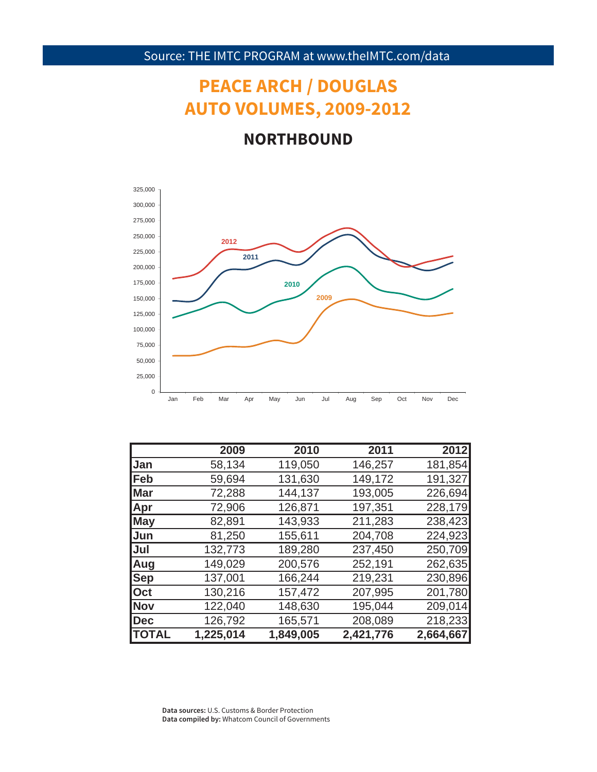# **PEACE ARCH / DOUGLAS AUTO VOLUMES, 2009-2012**

### **NORTHBOUND**



|                | 2009      | 2010      | 2011      | 2012      |
|----------------|-----------|-----------|-----------|-----------|
| <b>Jan</b>     | 58,134    | 119,050   | 146,257   | 181,854   |
| <b> Feb</b>    | 59,694    | 131,630   | 149,172   | 191,327   |
| <b>Mar</b>     | 72,288    | 144,137   | 193,005   | 226,694   |
| Apr            | 72,906    | 126,871   | 197,351   | 228,179   |
| <b>May</b>     | 82,891    | 143,933   | 211,283   | 238,423   |
| Jun            | 81,250    | 155,611   | 204,708   | 224,923   |
| Jul            | 132,773   | 189,280   | 237,450   | 250,709   |
| Aug            | 149,029   | 200,576   | 252,191   | 262,635   |
| <b>Sep</b>     | 137,001   | 166,244   | 219,231   | 230,896   |
| $\mathsf{Oct}$ | 130,216   | 157,472   | 207,995   | 201,780   |
| <b>Nov</b>     | 122,040   | 148,630   | 195,044   | 209,014   |
| Dec            | 126,792   | 165,571   | 208,089   | 218,233   |
| <b>ITOTAL</b>  | 1,225,014 | 1,849,005 | 2,421,776 | 2,664,667 |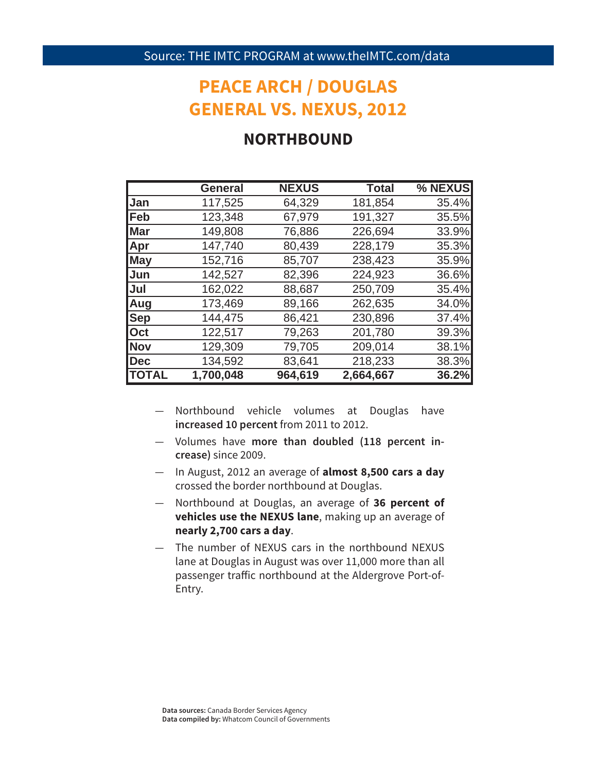### **PEACE ARCH / DOUGLAS GENERAL VS. NEXUS, 2012**

### **NORTHBOUND**

|                | <b>General</b> | <b>NEXUS</b> | <b>Total</b> | % NEXUS |
|----------------|----------------|--------------|--------------|---------|
| <b>Jan</b>     | 117,525        | 64,329       | 181,854      | 35.4%   |
| <b>Feb</b>     | 123,348        | 67,979       | 191,327      | 35.5%   |
| <b>Mar</b>     | 149,808        | 76,886       | 226,694      | 33.9%   |
| <b>Apr</b>     | 147,740        | 80,439       | 228,179      | 35.3%   |
| <b>May</b>     | 152,716        | 85,707       | 238,423      | 35.9%   |
| Jun            | 142,527        | 82,396       | 224,923      | 36.6%   |
| Jul            | 162,022        | 88,687       | 250,709      | 35.4%   |
| Aug            | 173,469        | 89,166       | 262,635      | 34.0%   |
| <b>Sep</b>     | 144,475        | 86,421       | 230,896      | 37.4%   |
| $\mathsf{Oct}$ | 122,517        | 79,263       | 201,780      | 39.3%   |
| <b>Nov</b>     | 129,309        | 79,705       | 209,014      | 38.1%   |
| Dec            | 134,592        | 83,641       | 218,233      | 38.3%   |
| <b>TOTAL</b>   | 1,700,048      | 964,619      | 2,664,667    | 36.2%   |

- Northbound vehicle volumes at Douglas have **increased 10 percent** from 2011 to 2012.
- Volumes have **more than doubled (118 percent increase)** since 2009.
- In August, 2012 an average of **almost 8,500 cars a day** crossed the border northbound at Douglas.
- Northbound at Douglas, an average of **36 percent of vehicles use the NEXUS lane**, making up an average of **nearly 2,700 cars a day**.
- The number of NEXUS cars in the northbound NEXUS lane at Douglas in August was over 11,000 more than all passenger traffic northbound at the Aldergrove Port-of-Entry.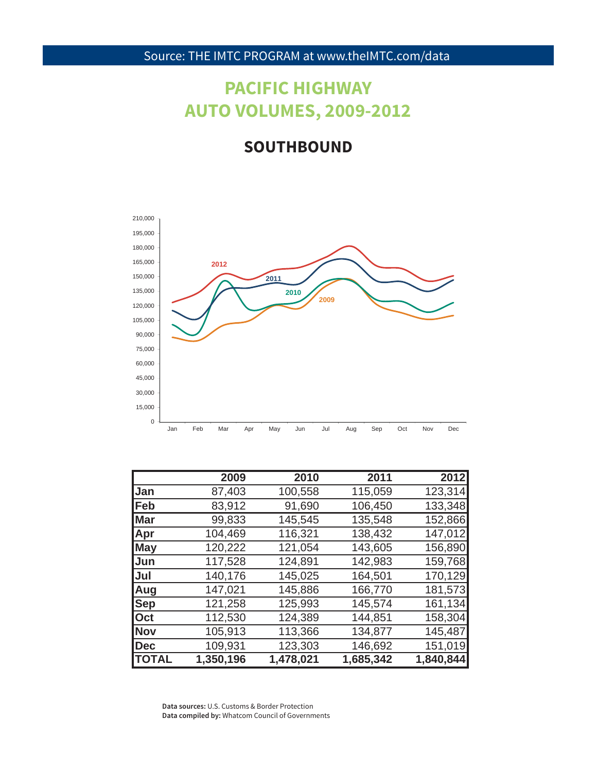# **PACIFIC HIGHWAY AUTO VOLUMES, 2009-2012**

### **SOUTHBOUND**



|                | 2009      | 2010      | 2011      | 2012      |
|----------------|-----------|-----------|-----------|-----------|
| Jan            | 87,403    | 100,558   | 115,059   | 123,314   |
| <b>IFeb</b>    | 83,912    | 91,690    | 106,450   | 133,348   |
| <b>I</b> Mar   | 99,833    | 145,545   | 135,548   | 152,866   |
| <b>Apr</b>     | 104,469   | 116,321   | 138,432   | 147,012   |
| <b>May</b>     | 120,222   | 121,054   | 143,605   | 156,890   |
| <b>Jun</b>     | 117,528   | 124,891   | 142,983   | 159,768   |
| IJul           | 140,176   | 145,025   | 164,501   | 170,129   |
| Aug            | 147,021   | 145,886   | 166,770   | 181,573   |
| <b>Sep</b>     | 121,258   | 125,993   | 145,574   | 161,134   |
| $\mathsf{Oct}$ | 112,530   | 124,389   | 144,851   | 158,304   |
| <b>Nov</b>     | 105,913   | 113,366   | 134,877   | 145,487   |
| <b>Dec</b>     | 109,931   | 123,303   | 146,692   | 151,019   |
| <b> TOTAL</b>  | 1,350,196 | 1,478,021 | 1,685,342 | 1,840,844 |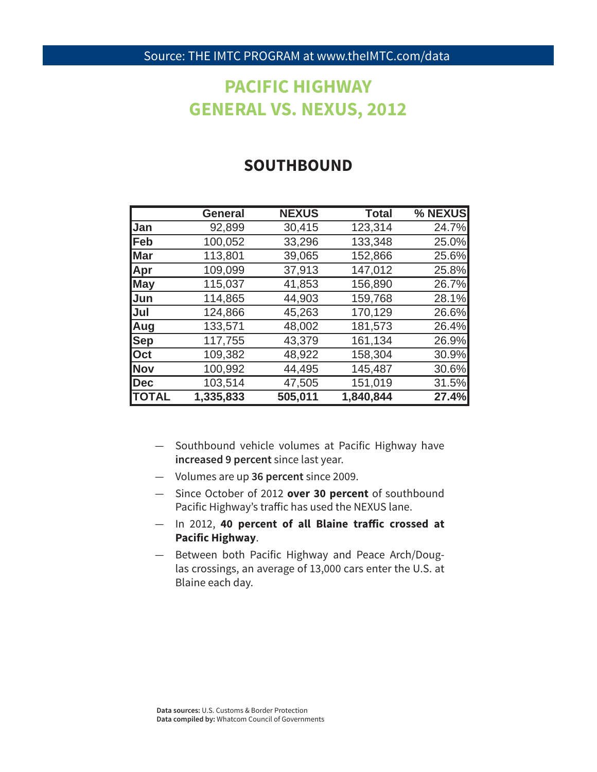### **PACIFIC HIGHWAY GENERAL VS. NEXUS, 2012**

#### **SOUTHBOUND**

|               | <b>General</b> | <b>NEXUS</b> | <b>Total</b> | % NEXUS |
|---------------|----------------|--------------|--------------|---------|
| <b>Jan</b>    | 92,899         | 30,415       | 123,314      | 24.7%   |
| <b> Feb</b>   | 100,052        | 33,296       | 133,348      | 25.0%   |
| <b>Mar</b>    | 113,801        | 39,065       | 152,866      | 25.6%   |
| <b>Apr</b>    | 109,099        | 37,913       | 147,012      | 25.8%   |
| <b>May</b>    | 115,037        | 41,853       | 156,890      | 26.7%   |
| Jun           | 114,865        | 44,903       | 159,768      | 28.1%   |
| IJul          | 124,866        | 45,263       | 170,129      | 26.6%   |
| Aug           | 133,571        | 48,002       | 181,573      | 26.4%   |
| <b>Sep</b>    | 117,755        | 43,379       | 161,134      | 26.9%   |
| <b>Oct</b>    | 109,382        | 48,922       | 158,304      | 30.9%   |
| <b>Nov</b>    | 100,992        | 44,495       | 145,487      | 30.6%   |
| <b>Dec</b>    | 103,514        | 47,505       | 151,019      | 31.5%   |
| <b> TOTAL</b> | 1,335,833      | 505,011      | 1,840,844    | 27.4%   |

- Southbound vehicle volumes at Pacific Highway have **increased 9 percent** since last year.
- Volumes are up **36 percent** since 2009.
- Since October of 2012 **over 30 percent** of southbound Pacific Highway's traffic has used the NEXUS lane.
- $-$  In 2012, 40 percent of all Blaine traffic crossed at **Pacific Highway**.
- Between both Pacific Highway and Peace Arch/Douglas crossings, an average of 13,000 cars enter the U.S. at Blaine each day.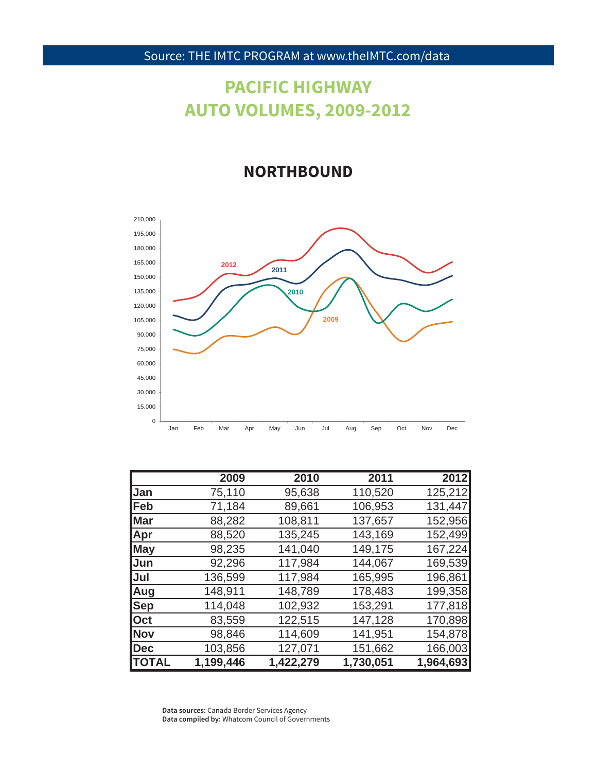# **PACIFIC HIGHWAY AUTO VOLUMES, 2009-2012**

#### **NORTHBOUND**



|              | 2009      | 2010      | 2011      | 2012      |
|--------------|-----------|-----------|-----------|-----------|
| <b>Jan</b>   | 75,110    | 95,638    | 110,520   | 125,212   |
| <b> Feb</b>  | 71,184    | 89,661    | 106,953   | 131,447   |
| <b>Mar</b>   | 88,282    | 108,811   | 137,657   | 152,956   |
| Apr          | 88,520    | 135,245   | 143,169   | 152,499   |
| <b>May</b>   | 98,235    | 141,040   | 149,175   | 167,224   |
| Jun          | 92,296    | 117,984   | 144,067   | 169,539   |
| IJul         | 136,599   | 117,984   | 165,995   | 196,861   |
| Aug          | 148,911   | 148,789   | 178,483   | 199,358   |
| <b>Sep</b>   | 114,048   | 102,932   | 153,291   | 177,818   |
| <b>Oct</b>   | 83,559    | 122,515   | 147,128   | 170,898   |
| Nov          | 98,846    | 114,609   | 141,951   | 154,878   |
| Dec          | 103,856   | 127,071   | 151,662   | 166,003   |
| <b>TOTAL</b> | 1,199,446 | 1,422,279 | 1,730,051 | 1,964,693 |

**Data sources:** Canada Border Services Agency **Data compiled by:** Whatcom Council of Governments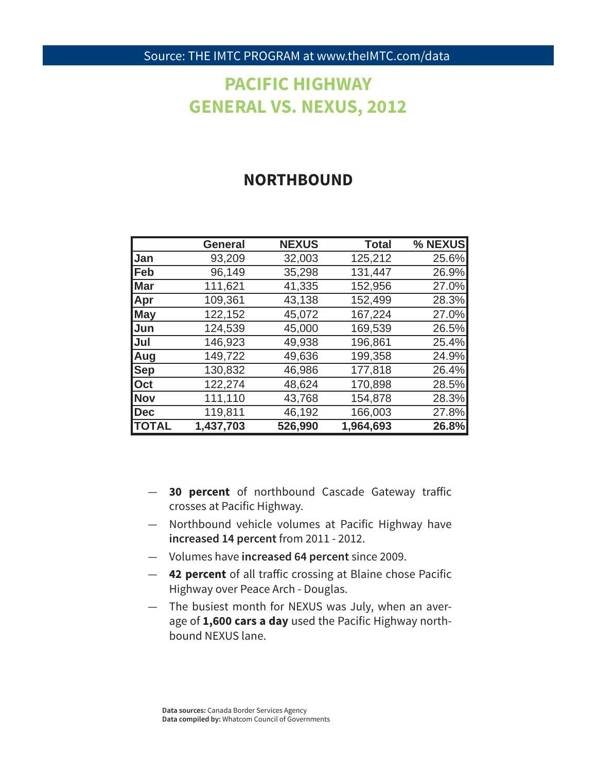# **PACIFIC HIGHWAY GENERAL VS. NEXUS, 2012**

#### **NORTHBOUND**

|              | <b>General</b> | <b>NEXUS</b> | <b>Total</b> | % NEXUS |
|--------------|----------------|--------------|--------------|---------|
| Jan          | 93,209         | 32,003       | 125,212      | 25.6%   |
| <b> Feb</b>  | 96,149         | 35,298       | 131,447      | 26.9%   |
| <b>Mar</b>   | 111,621        | 41,335       | 152,956      | 27.0%   |
| <b>Apr</b>   | 109,361        | 43,138       | 152,499      | 28.3%   |
| <b>May</b>   | 122,152        | 45,072       | 167,224      | 27.0%   |
| <b>Jun</b>   | 124,539        | 45,000       | 169,539      | 26.5%   |
| lJul         | 146,923        | 49,938       | 196,861      | 25.4%   |
| Aug          | 149,722        | 49,636       | 199,358      | 24.9%   |
| <b>Sep</b>   | 130,832        | 46,986       | 177,818      | 26.4%   |
| <b>Oct</b>   | 122,274        | 48,624       | 170,898      | 28.5%   |
| Nov          | 111,110        | 43,768       | 154,878      | 28.3%   |
| Dec          | 119,811        | 46,192       | 166,003      | 27.8%   |
| <b>TOTAL</b> | 1,437,703      | 526,990      | 1,964,693    | 26.8%   |

- **30 percent** of northbound Cascade Gateway traffic crosses at Pacific Highway.
- Northbound vehicle volumes at Pacific Highway have **increased 14 percent** from 2011 - 2012.
- Volumes have **increased 64 percent** since 2009.
- **42 percent** of all traffic crossing at Blaine chose Pacific Highway over Peace Arch - Douglas.
- The busiest month for NEXUS was July, when an average of **1,600 cars a day** used the Pacific Highway northbound NEXUS lane.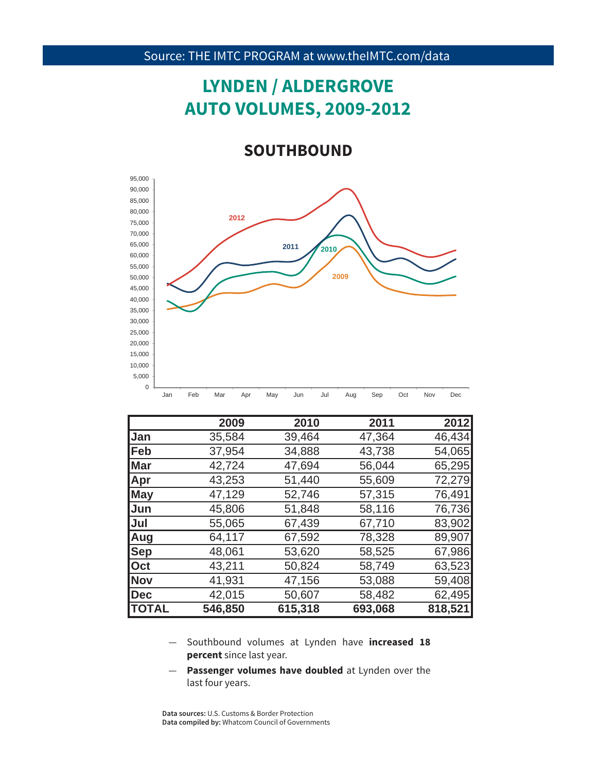# **LYNDEN / ALDERGROVE AUTO VOLUMES, 2009-2012**

#### **SOUTHBOUND**



|              | 2009    | 2010    | 2011    | 2012    |
|--------------|---------|---------|---------|---------|
| <b>Jan</b>   | 35,584  | 39,464  | 47,364  | 46,434  |
| Feb          | 37,954  | 34,888  | 43,738  | 54,065  |
| <b>Mar</b>   | 42,724  | 47,694  | 56,044  | 65,295  |
| <b>Apr</b>   | 43,253  | 51,440  | 55,609  | 72,279  |
| May          | 47,129  | 52,746  | 57,315  | 76,491  |
| <b>Jun</b>   | 45,806  | 51,848  | 58,116  | 76,736  |
| <b>Jul</b>   | 55,065  | 67,439  | 67,710  | 83,902  |
| Aug          | 64,117  | 67,592  | 78,328  | 89,907  |
| <b>Sep</b>   | 48,061  | 53,620  | 58,525  | 67,986  |
| Oct          | 43,211  | 50,824  | 58,749  | 63,523  |
| <b>Nov</b>   | 41,931  | 47,156  | 53,088  | 59,408  |
| Dec          | 42,015  | 50,607  | 58,482  | 62,495  |
| <b>TOTAL</b> | 546,850 | 615,318 | 693,068 | 818,521 |

- 35 **percent** since last year. — Southbound volumes at Lynden have **increased 18**
- **Passenger volumes have doubled** at Lynden over the last four years.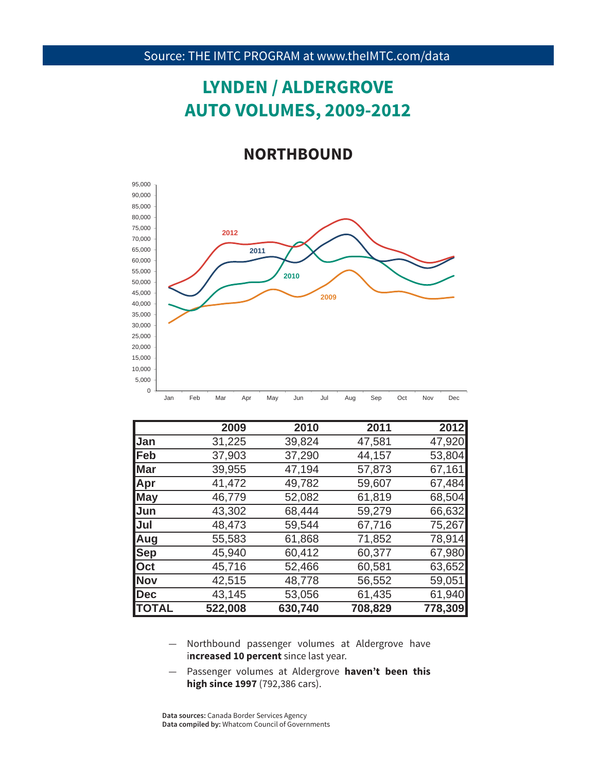# **LYNDEN / ALDERGROVE AUTO VOLUMES, 2009-2012**

#### **NORTHBOUND**



|               | 2009    | 2010    | 2011    | 2012    |
|---------------|---------|---------|---------|---------|
| <b>Jan</b>    | 31,225  | 39,824  | 47,581  | 47,920  |
| <b> Feb</b>   | 37,903  | 37,290  | 44,157  | 53,804  |
| <b>Mar</b>    | 39,955  | 47,194  | 57,873  | 67,161  |
| <b>Apr</b>    | 41,472  | 49,782  | 59,607  | 67,484  |
| <b>May</b>    | 46,779  | 52,082  | 61,819  | 68,504  |
| <b>Jun</b>    | 43,302  | 68,444  | 59,279  | 66,632  |
| <b>Jul</b>    | 48,473  | 59,544  | 67,716  | 75,267  |
| Aug           | 55,583  | 61,868  | 71,852  | 78,914  |
| <b>Sep</b>    | 45,940  | 60,412  | 60,377  | 67,980  |
| Oct           | 45,716  | 52,466  | 60,581  | 63,652  |
| <b>Nov</b>    | 42,515  | 48,778  | 56,552  | 59,051  |
| Dec           | 43,145  | 53,056  | 61,435  | 61,940  |
| <b>ITOTAL</b> | 522,008 | 630,740 | 708,829 | 778,309 |

- increased 10 percent since last year. — Northbound passenger volumes at Aldergrove have
- Passenger volumes at Aldergrove **haven't been this high since 1997** (792,386 cars).

**Data sources:** Canada Border Services Agency **Data compiled by:** Whatcom Council of Governments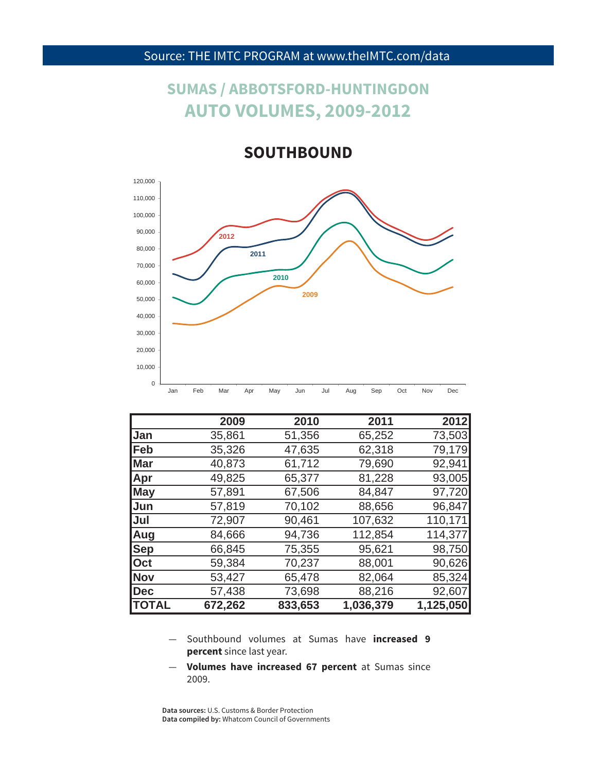### **SUMAS / ABBOTSFORD-HUNTINGDON AUTO VOLUMES, 2009-2012**

**SOUTHBOUND**



|               | 2009    | 2010    | 2011      | 2012      |
|---------------|---------|---------|-----------|-----------|
| <b>Jan</b>    | 35,861  | 51,356  | 65,252    | 73,503    |
| <b> Feb</b>   | 35,326  | 47,635  | 62,318    | 79,179    |
| <b>Mar</b>    | 40,873  | 61,712  | 79,690    | 92,941    |
| <b>Apr</b>    | 49,825  | 65,377  | 81,228    | 93,005    |
| <b>May</b>    | 57,891  | 67,506  | 84,847    | 97,720    |
| <b>Jun</b>    | 57,819  | 70,102  | 88,656    | 96,847    |
| <b>Jul</b>    | 72,907  | 90,461  | 107,632   | 110,171   |
| <b>Aug</b>    | 84,666  | 94,736  | 112,854   | 114,377   |
| <b>Sep</b>    | 66,845  | 75,355  | 95,621    | 98,750    |
| <b>Oct</b>    | 59,384  | 70,237  | 88,001    | 90,626    |
| <b>Nov</b>    | 53,427  | 65,478  | 82,064    | 85,324    |
| Dec           | 57,438  | 73,698  | 88,216    | 92,607    |
| <b>ITOTAL</b> | 672,262 | 833,653 | 1,036,379 | 1,125,050 |

- 37 **percent** since last year. — Southbound volumes at Sumas have **increased 9**
- **Volumes have increased 67 percent** at Sumas since 2009.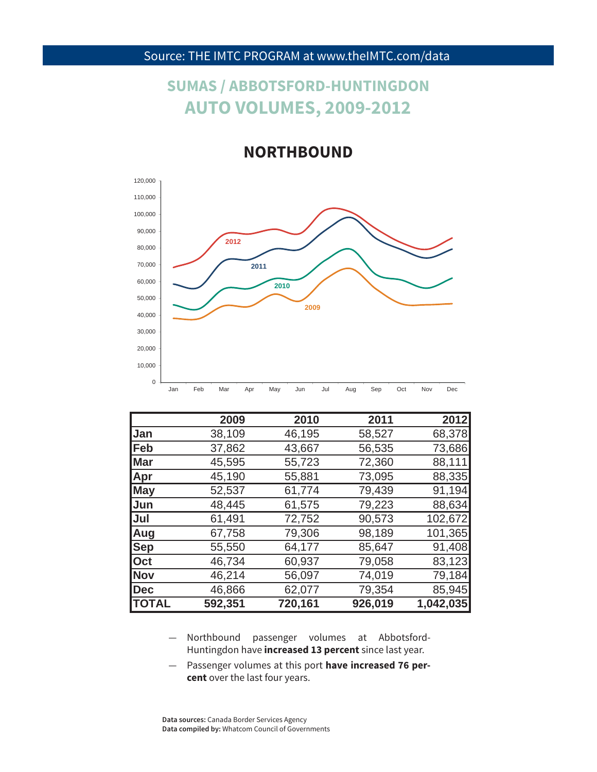### **SUMAS / ABBOTSFORD-HUNTINGDON AUTO VOLUMES, 2009-2012**

#### **NORTHBOUND**



|               | 2009    | 2010    | 2011    | 2012      |
|---------------|---------|---------|---------|-----------|
| <b>Jan</b>    | 38,109  | 46,195  | 58,527  | 68,378    |
| <b>Feb</b>    | 37,862  | 43,667  | 56,535  | 73,686    |
| <b>Mar</b>    | 45,595  | 55,723  | 72,360  | 88,111    |
| Apr           | 45,190  | 55,881  | 73,095  | 88,335    |
| <b>May</b>    | 52,537  | 61,774  | 79,439  | 91,194    |
| Jun           | 48,445  | 61,575  | 79,223  | 88,634    |
| Jul           | 61,491  | 72,752  | 90,573  | 102,672   |
| Aug           | 67,758  | 79,306  | 98,189  | 101,365   |
| $ $ Sep       | 55,550  | 64,177  | 85,647  | 91,408    |
| <b>Oct</b>    | 46,734  | 60,937  | 79,058  | 83,123    |
| Nov           | 46,214  | 56,097  | 74,019  | 79,184    |
| Dec           | 46,866  | 62,077  | 79,354  | 85,945    |
| <b> TOTAL</b> | 592,351 | 720,161 | 926,019 | 1,042,035 |

- 38 Huntingdon have **increased 13 percent** since last year. — Northbound passenger volumes at Abbotsford-
- Passenger volumes at this port **have increased 76 percent** over the last four years.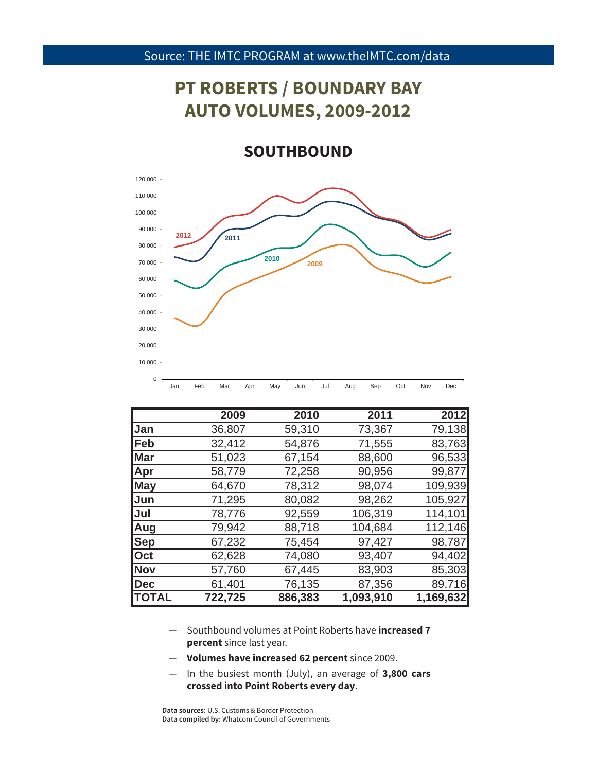# **PT ROBERTS / BOUNDARY BAY AUTO VOLUMES, 2009-2012**

**SOUTHBOUND**



|              | 2009    | 2010    | 2011      | 2012      |
|--------------|---------|---------|-----------|-----------|
| Jan          | 36,807  | 59,310  | 73,367    | 79,138    |
| Feb          | 32,412  | 54,876  | 71,555    | 83,763    |
| Mar          | 51,023  | 67,154  | 88,600    | 96,533    |
| Apr          | 58,779  | 72,258  | 90,956    | 99,877    |
| <b>May</b>   | 64,670  | 78,312  | 98,074    | 109,939   |
| Jun          | 71,295  | 80,082  | 98,262    | 105,927   |
| Jul          | 78,776  | 92,559  | 106,319   | 114,101   |
| Aug          | 79,942  | 88,718  | 104,684   | 112,146   |
| <b>Sep</b>   | 67,232  | 75,454  | 97,427    | 98,787    |
| Oct          | 62,628  | 74,080  | 93,407    | 94,402    |
| <b>Nov</b>   | 57,760  | 67,445  | 83,903    | 85,303    |
| Dec          | 61,401  | 76,135  | 87,356    | 89,716    |
| <b>TOTAL</b> | 722,725 | 886,383 | 1,093,910 | 1,169,632 |

- Southbound volumes at Point Roberts have **increased 7 percent** since last year.
- 39 **Volumes have increased 62 percent** since 2009.
- In the busiest month (July), an average of **3,800 cars crossed into Point Roberts every day**.